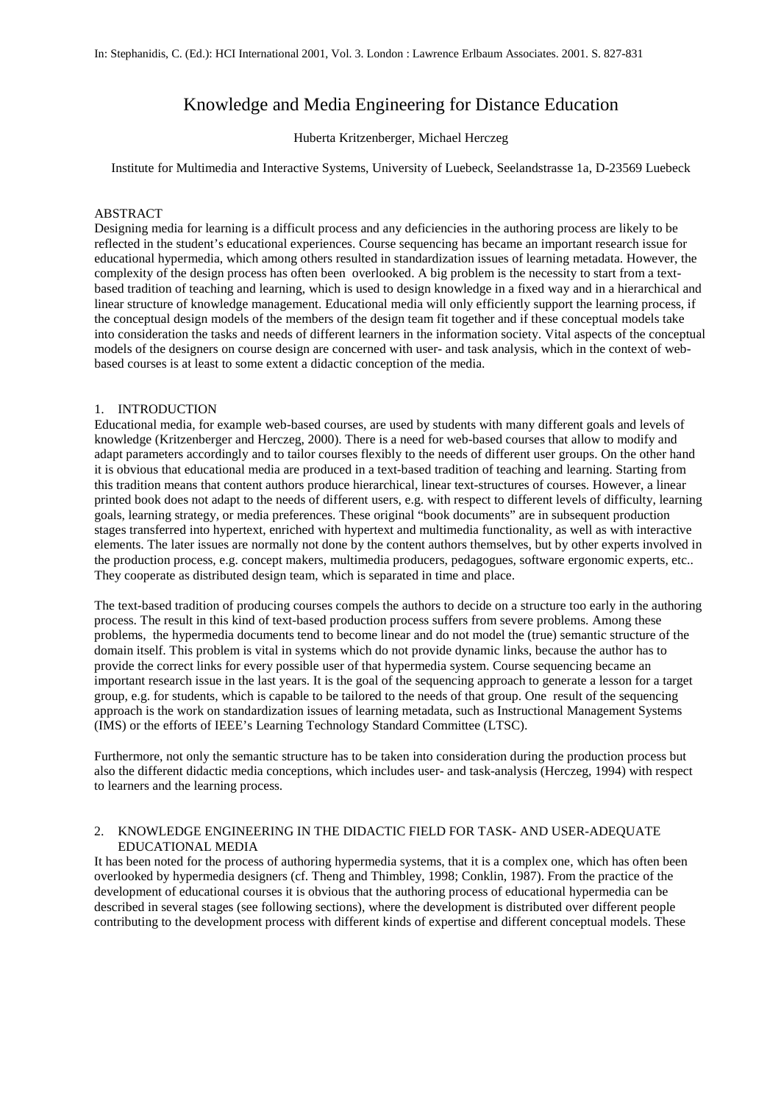# Knowledge and Media Engineering for Distance Education

#### Huberta Kritzenberger, Michael Herczeg

Institute for Multimedia and Interactive Systems, University of Luebeck, Seelandstrasse 1a, D-23569 Luebeck

#### ABSTRACT

Designing media for learning is a difficult process and any deficiencies in the authoring process are likely to be reflected in the student's educational experiences. Course sequencing has became an important research issue for educational hypermedia, which among others resulted in standardization issues of learning metadata. However, the complexity of the design process has often been overlooked. A big problem is the necessity to start from a textbased tradition of teaching and learning, which is used to design knowledge in a fixed way and in a hierarchical and linear structure of knowledge management. Educational media will only efficiently support the learning process, if the conceptual design models of the members of the design team fit together and if these conceptual models take into consideration the tasks and needs of different learners in the information society. Vital aspects of the conceptual models of the designers on course design are concerned with user- and task analysis, which in the context of webbased courses is at least to some extent a didactic conception of the media.

#### 1. INTRODUCTION

Educational media, for example web-based courses, are used by students with many different goals and levels of knowledge (Kritzenberger and Herczeg, 2000). There is a need for web-based courses that allow to modify and adapt parameters accordingly and to tailor courses flexibly to the needs of different user groups. On the other hand it is obvious that educational media are produced in a text-based tradition of teaching and learning. Starting from this tradition means that content authors produce hierarchical, linear text-structures of courses. However, a linear printed book does not adapt to the needs of different users, e.g. with respect to different levels of difficulty, learning goals, learning strategy, or media preferences. These original "book documents" are in subsequent production stages transferred into hypertext, enriched with hypertext and multimedia functionality, as well as with interactive elements. The later issues are normally not done by the content authors themselves, but by other experts involved in the production process, e.g. concept makers, multimedia producers, pedagogues, software ergonomic experts, etc.. They cooperate as distributed design team, which is separated in time and place.

The text-based tradition of producing courses compels the authors to decide on a structure too early in the authoring process. The result in this kind of text-based production process suffers from severe problems. Among these problems, the hypermedia documents tend to become linear and do not model the (true) semantic structure of the domain itself. This problem is vital in systems which do not provide dynamic links, because the author has to provide the correct links for every possible user of that hypermedia system. Course sequencing became an important research issue in the last years. It is the goal of the sequencing approach to generate a lesson for a target group, e.g. for students, which is capable to be tailored to the needs of that group. One result of the sequencing approach is the work on standardization issues of learning metadata, such as Instructional Management Systems (IMS) or the efforts of IEEE's Learning Technology Standard Committee (LTSC).

Furthermore, not only the semantic structure has to be taken into consideration during the production process but also the different didactic media conceptions, which includes user- and task-analysis (Herczeg, 1994) with respect to learners and the learning process.

## 2. KNOWLEDGE ENGINEERING IN THE DIDACTIC FIELD FOR TASK- AND USER-ADEQUATE EDUCATIONAL MEDIA

It has been noted for the process of authoring hypermedia systems, that it is a complex one, which has often been overlooked by hypermedia designers (cf. Theng and Thimbley, 1998; Conklin, 1987). From the practice of the development of educational courses it is obvious that the authoring process of educational hypermedia can be described in several stages (see following sections), where the development is distributed over different people contributing to the development process with different kinds of expertise and different conceptual models. These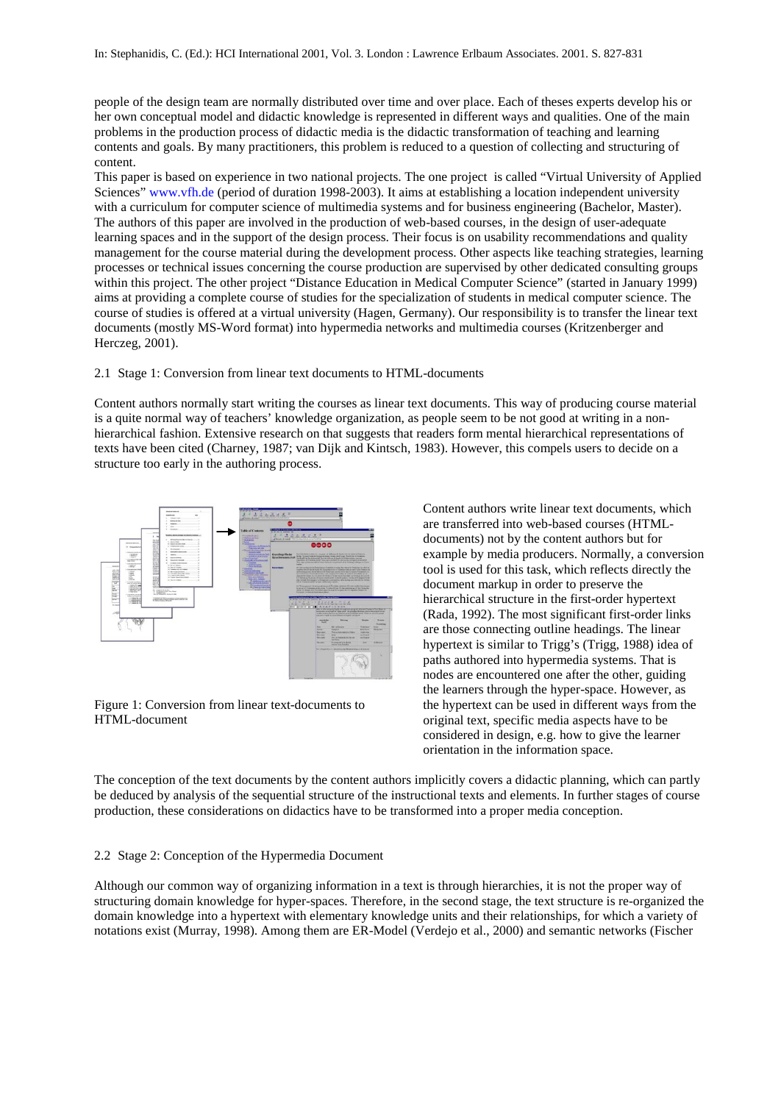people of the design team are normally distributed over time and over place. Each of theses experts develop his or her own conceptual model and didactic knowledge is represented in different ways and qualities. One of the main problems in the production process of didactic media is the didactic transformation of teaching and learning contents and goals. By many practitioners, this problem is reduced to a question of collecting and structuring of content.

This paper is based on experience in two national projects. The one project is called "Virtual University of Applied Sciences" [www.vfh.de](http://www.vfh.de/) (period of duration 1998-2003). It aims at establishing a location independent university with a curriculum for computer science of multimedia systems and for business engineering (Bachelor, Master). The authors of this paper are involved in the production of web-based courses, in the design of user-adequate learning spaces and in the support of the design process. Their focus is on usability recommendations and quality management for the course material during the development process. Other aspects like teaching strategies, learning processes or technical issues concerning the course production are supervised by other dedicated consulting groups within this project. The other project "Distance Education in Medical Computer Science" (started in January 1999) aims at providing a complete course of studies for the specialization of students in medical computer science. The course of studies is offered at a virtual university (Hagen, Germany). Our responsibility is to transfer the linear text documents (mostly MS-Word format) into hypermedia networks and multimedia courses (Kritzenberger and Herczeg, 2001).

#### 2.1 Stage 1: Conversion from linear text documents to HTML-documents

Content authors normally start writing the courses as linear text documents. This way of producing course material is a quite normal way of teachers' knowledge organization, as people seem to be not good at writing in a nonhierarchical fashion. Extensive research on that suggests that readers form mental hierarchical representations of texts have been cited (Charney, 1987; van Dijk and Kintsch, 1983). However, this compels users to decide on a structure too early in the authoring process.



Figure 1: Conversion from linear text-documents to HTML-document

Content authors write linear text documents, which are transferred into web-based courses (HTMLdocuments) not by the content authors but for example by media producers. Normally, a conversion tool is used for this task, which reflects directly the document markup in order to preserve the hierarchical structure in the first-order hypertext (Rada, 1992). The most significant first-order links are those connecting outline headings. The linear hypertext is similar to Trigg's (Trigg, 1988) idea of paths authored into hypermedia systems. That is nodes are encountered one after the other, guiding the learners through the hyper-space. However, as the hypertext can be used in different ways from the original text, specific media aspects have to be considered in design, e.g. how to give the learner orientation in the information space.

The conception of the text documents by the content authors implicitly covers a didactic planning, which can partly be deduced by analysis of the sequential structure of the instructional texts and elements. In further stages of course production, these considerations on didactics have to be transformed into a proper media conception.

#### 2.2 Stage 2: Conception of the Hypermedia Document

Although our common way of organizing information in a text is through hierarchies, it is not the proper way of structuring domain knowledge for hyper-spaces. Therefore, in the second stage, the text structure is re-organized the domain knowledge into a hypertext with elementary knowledge units and their relationships, for which a variety of notations exist (Murray, 1998). Among them are ER-Model (Verdejo et al., 2000) and semantic networks (Fischer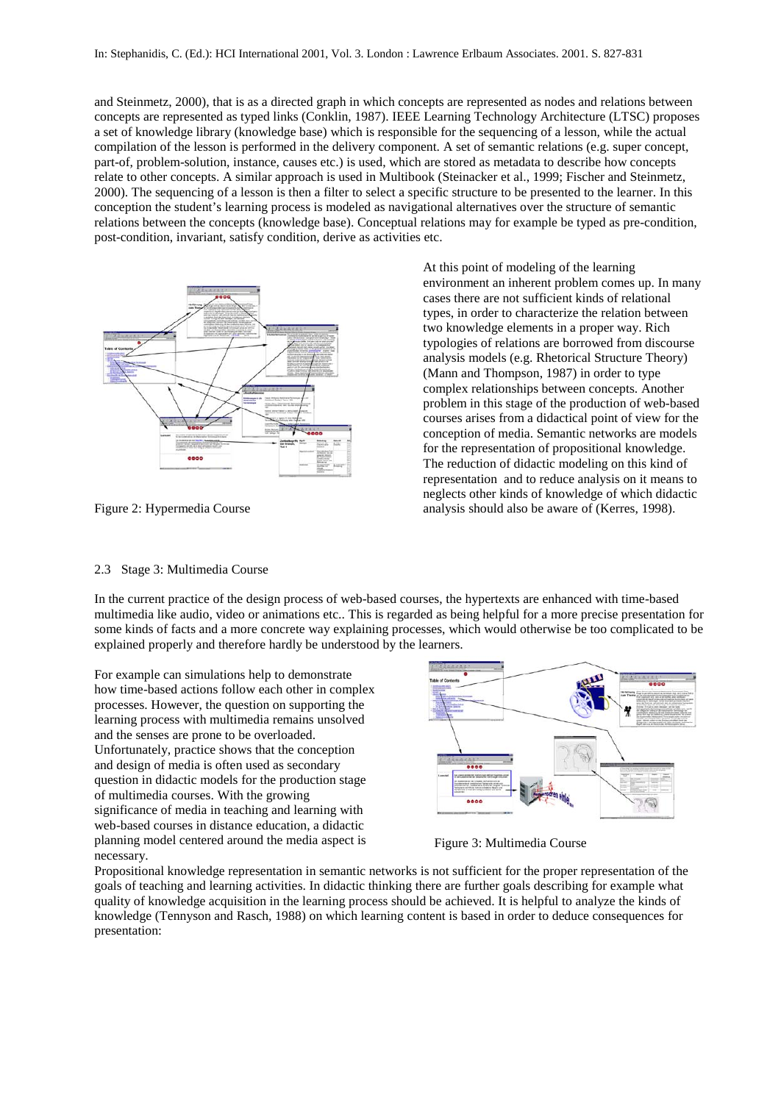and Steinmetz, 2000), that is as a directed graph in which concepts are represented as nodes and relations between concepts are represented as typed links (Conklin, 1987). IEEE Learning Technology Architecture (LTSC) proposes a set of knowledge library (knowledge base) which is responsible for the sequencing of a lesson, while the actual compilation of the lesson is performed in the delivery component. A set of semantic relations (e.g. super concept, part-of, problem-solution, instance, causes etc.) is used, which are stored as metadata to describe how concepts relate to other concepts. A similar approach is used in Multibook (Steinacker et al., 1999; Fischer and Steinmetz, 2000). The sequencing of a lesson is then a filter to select a specific structure to be presented to the learner. In this conception the student's learning process is modeled as navigational alternatives over the structure of semantic relations between the concepts (knowledge base). Conceptual relations may for example be typed as pre-condition, post-condition, invariant, satisfy condition, derive as activities etc.



Figure 2: Hypermedia Course

#### 2.3 Stage 3: Multimedia Course

At this point of modeling of the learning environment an inherent problem comes up. In many cases there are not sufficient kinds of relational types, in order to characterize the relation between two knowledge elements in a proper way. Rich typologies of relations are borrowed from discourse analysis models (e.g. Rhetorical Structure Theory) (Mann and Thompson, 1987) in order to type complex relationships between concepts. Another problem in this stage of the production of web-based courses arises from a didactical point of view for the conception of media. Semantic networks are models for the representation of propositional knowledge. The reduction of didactic modeling on this kind of representation and to reduce analysis on it means to neglects other kinds of knowledge of which didactic analysis should also be aware of (Kerres, 1998).

In the current practice of the design process of web-based courses, the hypertexts are enhanced with time-based multimedia like audio, video or animations etc.. This is regarded as being helpful for a more precise presentation for some kinds of facts and a more concrete way explaining processes, which would otherwise be too complicated to be explained properly and therefore hardly be understood by the learners.

For example can simulations help to demonstrate how time-based actions follow each other in complex processes. However, the question on supporting the learning process with multimedia remains unsolved and the senses are prone to be overloaded. Unfortunately, practice shows that the conception and design of media is often used as secondary question in didactic models for the production stage of multimedia courses. With the growing significance of media in teaching and learning with web-based courses in distance education, a didactic planning model centered around the media aspect is necessary.



Figure 3: Multimedia Course

Propositional knowledge representation in semantic networks is not sufficient for the proper representation of the goals of teaching and learning activities. In didactic thinking there are further goals describing for example what quality of knowledge acquisition in the learning process should be achieved. It is helpful to analyze the kinds of knowledge (Tennyson and Rasch, 1988) on which learning content is based in order to deduce consequences for presentation: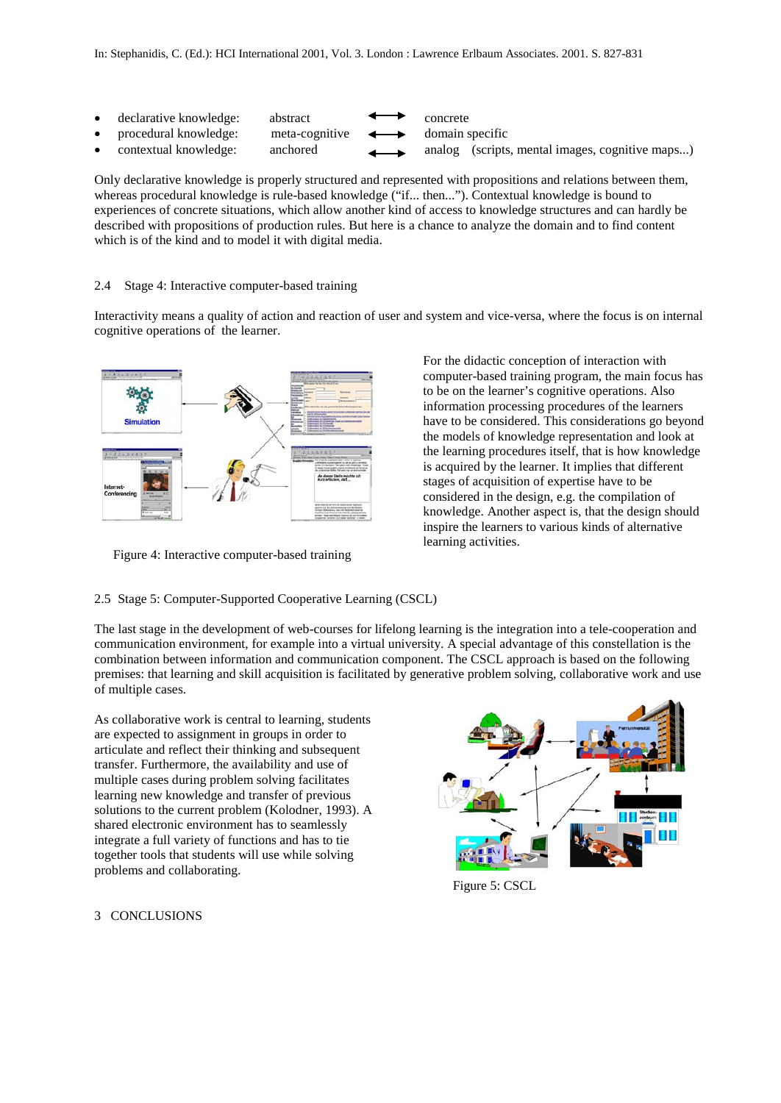$\text{declarative knowledge:}$  abstract  $\leftrightarrow$  concrete procedural knowledge: meta-cognitive  $\longleftrightarrow$  domain specific • contextual knowledge: anchored analog (scripts, mental images, cognitive maps...)

Only declarative knowledge is properly structured and represented with propositions and relations between them, whereas procedural knowledge is rule-based knowledge ("if... then..."). Contextual knowledge is bound to experiences of concrete situations, which allow another kind of access to knowledge structures and can hardly be described with propositions of production rules. But here is a chance to analyze the domain and to find content which is of the kind and to model it with digital media.

#### 2.4 Stage 4: Interactive computer-based training

Interactivity means a quality of action and reaction of user and system and vice-versa, where the focus is on internal cognitive operations of the learner.



Figure 4: Interactive computer-based training

For the didactic conception of interaction with computer-based training program, the main focus has to be on the learner's cognitive operations. Also information processing procedures of the learners have to be considered. This considerations go beyond the models of knowledge representation and look at the learning procedures itself, that is how knowledge is acquired by the learner. It implies that different stages of acquisition of expertise have to be considered in the design, e.g. the compilation of knowledge. Another aspect is, that the design should inspire the learners to various kinds of alternative learning activities.

## 2.5 Stage 5: Computer-Supported Cooperative Learning (CSCL)

The last stage in the development of web-courses for lifelong learning is the integration into a tele-cooperation and communication environment, for example into a virtual university. A special advantage of this constellation is the combination between information and communication component. The CSCL approach is based on the following premises: that learning and skill acquisition is facilitated by generative problem solving, collaborative work and use of multiple cases.

As collaborative work is central to learning, students are expected to assignment in groups in order to articulate and reflect their thinking and subsequent transfer. Furthermore, the availability and use of multiple cases during problem solving facilitates learning new knowledge and transfer of previous solutions to the current problem (Kolodner, 1993). A shared electronic environment has to seamlessly integrate a full variety of functions and has to tie together tools that students will use while solving problems and collaborating.



Figure 5: CSCL

## 3 CONCLUSIONS